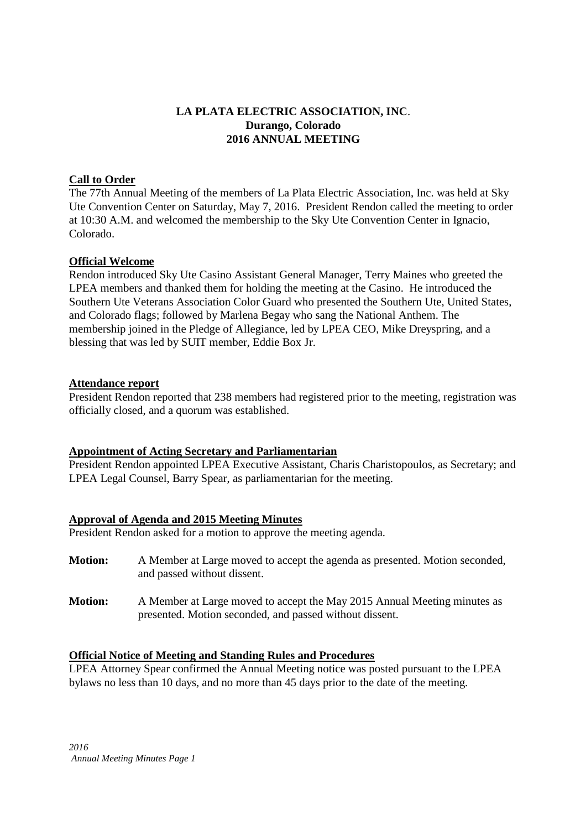# **LA PLATA ELECTRIC ASSOCIATION, INC**. **Durango, Colorado 2016 ANNUAL MEETING**

## **Call to Order**

The 77th Annual Meeting of the members of La Plata Electric Association, Inc. was held at Sky Ute Convention Center on Saturday, May 7, 2016. President Rendon called the meeting to order at 10:30 A.M. and welcomed the membership to the Sky Ute Convention Center in Ignacio, Colorado.

## **Official Welcome**

Rendon introduced Sky Ute Casino Assistant General Manager, Terry Maines who greeted the LPEA members and thanked them for holding the meeting at the Casino. He introduced the Southern Ute Veterans Association Color Guard who presented the Southern Ute, United States, and Colorado flags; followed by Marlena Begay who sang the National Anthem. The membership joined in the Pledge of Allegiance, led by LPEA CEO, Mike Dreyspring, and a blessing that was led by SUIT member, Eddie Box Jr.

### **Attendance report**

President Rendon reported that 238 members had registered prior to the meeting, registration was officially closed, and a quorum was established.

## **Appointment of Acting Secretary and Parliamentarian**

President Rendon appointed LPEA Executive Assistant, Charis Charistopoulos, as Secretary; and LPEA Legal Counsel, Barry Spear, as parliamentarian for the meeting.

## **Approval of Agenda and 2015 Meeting Minutes**

President Rendon asked for a motion to approve the meeting agenda.

- **Motion:** A Member at Large moved to accept the agenda as presented. Motion seconded, and passed without dissent.
- **Motion:** A Member at Large moved to accept the May 2015 Annual Meeting minutes as presented. Motion seconded, and passed without dissent.

## **Official Notice of Meeting and Standing Rules and Procedures**

LPEA Attorney Spear confirmed the Annual Meeting notice was posted pursuant to the LPEA bylaws no less than 10 days, and no more than 45 days prior to the date of the meeting.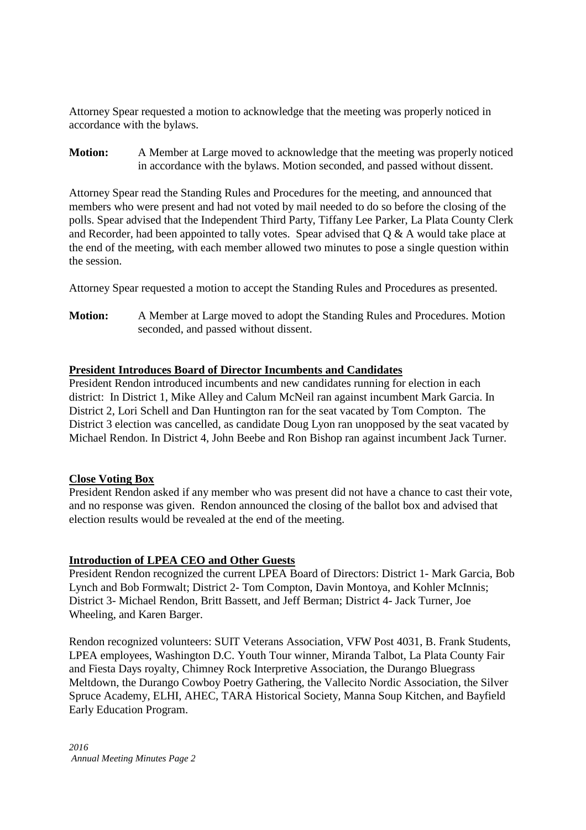Attorney Spear requested a motion to acknowledge that the meeting was properly noticed in accordance with the bylaws.

**Motion:** A Member at Large moved to acknowledge that the meeting was properly noticed in accordance with the bylaws. Motion seconded, and passed without dissent.

Attorney Spear read the Standing Rules and Procedures for the meeting, and announced that members who were present and had not voted by mail needed to do so before the closing of the polls. Spear advised that the Independent Third Party, Tiffany Lee Parker, La Plata County Clerk and Recorder, had been appointed to tally votes. Spear advised that  $Q & A$  would take place at the end of the meeting, with each member allowed two minutes to pose a single question within the session.

Attorney Spear requested a motion to accept the Standing Rules and Procedures as presented.

**Motion:** A Member at Large moved to adopt the Standing Rules and Procedures. Motion seconded, and passed without dissent.

### **President Introduces Board of Director Incumbents and Candidates**

President Rendon introduced incumbents and new candidates running for election in each district: In District 1, Mike Alley and Calum McNeil ran against incumbent Mark Garcia. In District 2, Lori Schell and Dan Huntington ran for the seat vacated by Tom Compton. The District 3 election was cancelled, as candidate Doug Lyon ran unopposed by the seat vacated by Michael Rendon. In District 4, John Beebe and Ron Bishop ran against incumbent Jack Turner.

#### **Close Voting Box**

President Rendon asked if any member who was present did not have a chance to cast their vote, and no response was given. Rendon announced the closing of the ballot box and advised that election results would be revealed at the end of the meeting.

#### **Introduction of LPEA CEO and Other Guests**

President Rendon recognized the current LPEA Board of Directors: District 1- Mark Garcia, Bob Lynch and Bob Formwalt; District 2- Tom Compton, Davin Montoya, and Kohler McInnis; District 3- Michael Rendon, Britt Bassett, and Jeff Berman; District 4- Jack Turner, Joe Wheeling, and Karen Barger.

Rendon recognized volunteers: SUIT Veterans Association, VFW Post 4031, B. Frank Students, LPEA employees, Washington D.C. Youth Tour winner, Miranda Talbot, La Plata County Fair and Fiesta Days royalty, Chimney Rock Interpretive Association, the Durango Bluegrass Meltdown, the Durango Cowboy Poetry Gathering, the Vallecito Nordic Association, the Silver Spruce Academy, ELHI, AHEC, TARA Historical Society, Manna Soup Kitchen, and Bayfield Early Education Program.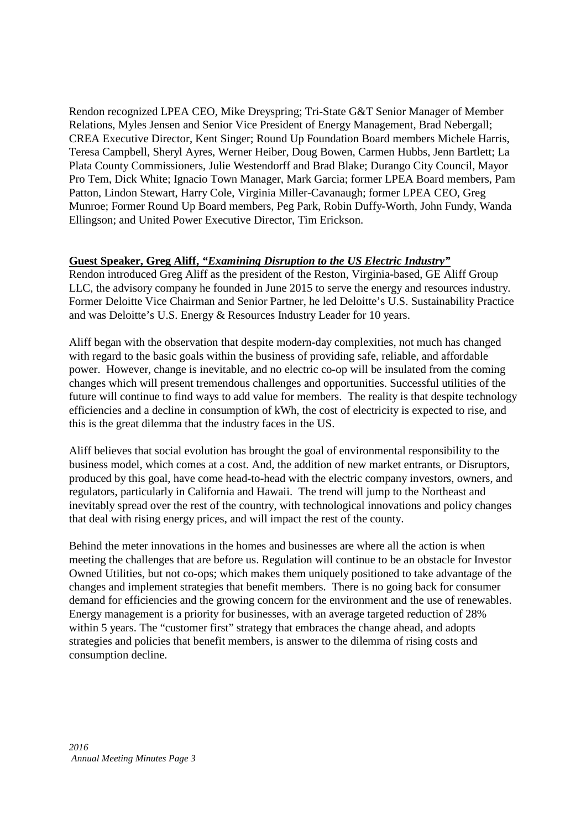Rendon recognized LPEA CEO, Mike Dreyspring; Tri-State G&T Senior Manager of Member Relations, Myles Jensen and Senior Vice President of Energy Management, Brad Nebergall; CREA Executive Director, Kent Singer; Round Up Foundation Board members Michele Harris, Teresa Campbell, Sheryl Ayres, Werner Heiber, Doug Bowen, Carmen Hubbs, Jenn Bartlett; La Plata County Commissioners, Julie Westendorff and Brad Blake; Durango City Council, Mayor Pro Tem, Dick White; Ignacio Town Manager, Mark Garcia; former LPEA Board members, Pam Patton, Lindon Stewart, Harry Cole, Virginia Miller-Cavanaugh; former LPEA CEO, Greg Munroe; Former Round Up Board members, Peg Park, Robin Duffy-Worth, John Fundy, Wanda Ellingson; and United Power Executive Director, Tim Erickson.

# **Guest Speaker, Greg Aliff,** *"Examining Disruption to the US Electric Industry"*

Rendon introduced Greg Aliff as the president of the Reston, Virginia-based, GE Aliff Group LLC, the advisory company he founded in June 2015 to serve the energy and resources industry. Former Deloitte Vice Chairman and Senior Partner, he led Deloitte's U.S. Sustainability Practice and was Deloitte's U.S. Energy & Resources Industry Leader for 10 years.

Aliff began with the observation that despite modern-day complexities, not much has changed with regard to the basic goals within the business of providing safe, reliable, and affordable power. However, change is inevitable, and no electric co-op will be insulated from the coming changes which will present tremendous challenges and opportunities. Successful utilities of the future will continue to find ways to add value for members. The reality is that despite technology efficiencies and a decline in consumption of kWh, the cost of electricity is expected to rise, and this is the great dilemma that the industry faces in the US.

Aliff believes that social evolution has brought the goal of environmental responsibility to the business model, which comes at a cost. And, the addition of new market entrants, or Disruptors, produced by this goal, have come head-to-head with the electric company investors, owners, and regulators, particularly in California and Hawaii. The trend will jump to the Northeast and inevitably spread over the rest of the country, with technological innovations and policy changes that deal with rising energy prices, and will impact the rest of the county.

Behind the meter innovations in the homes and businesses are where all the action is when meeting the challenges that are before us. Regulation will continue to be an obstacle for Investor Owned Utilities, but not co-ops; which makes them uniquely positioned to take advantage of the changes and implement strategies that benefit members. There is no going back for consumer demand for efficiencies and the growing concern for the environment and the use of renewables. Energy management is a priority for businesses, with an average targeted reduction of 28% within 5 years. The "customer first" strategy that embraces the change ahead, and adopts strategies and policies that benefit members, is answer to the dilemma of rising costs and consumption decline.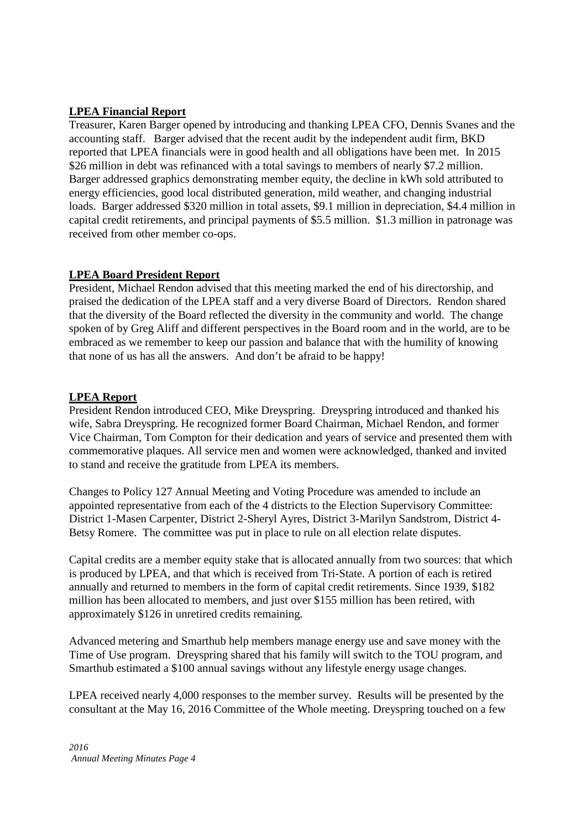# **LPEA Financial Report**

Treasurer, Karen Barger opened by introducing and thanking LPEA CFO, Dennis Svanes and the accounting staff. Barger advised that the recent audit by the independent audit firm, BKD reported that LPEA financials were in good health and all obligations have been met. In 2015 \$26 million in debt was refinanced with a total savings to members of nearly \$7.2 million. Barger addressed graphics demonstrating member equity, the decline in kWh sold attributed to energy efficiencies, good local distributed generation, mild weather, and changing industrial loads. Barger addressed \$320 million in total assets, \$9.1 million in depreciation, \$4.4 million in capital credit retirements, and principal payments of \$5.5 million. \$1.3 million in patronage was received from other member co-ops.

# **LPEA Board President Report**

President, Michael Rendon advised that this meeting marked the end of his directorship, and praised the dedication of the LPEA staff and a very diverse Board of Directors. Rendon shared that the diversity of the Board reflected the diversity in the community and world. The change spoken of by Greg Aliff and different perspectives in the Board room and in the world, are to be embraced as we remember to keep our passion and balance that with the humility of knowing that none of us has all the answers. And don't be afraid to be happy!

# **LPEA Report**

President Rendon introduced CEO, Mike Dreyspring. Dreyspring introduced and thanked his wife, Sabra Dreyspring. He recognized former Board Chairman, Michael Rendon, and former Vice Chairman, Tom Compton for their dedication and years of service and presented them with commemorative plaques. All service men and women were acknowledged, thanked and invited to stand and receive the gratitude from LPEA its members.

Changes to Policy 127 Annual Meeting and Voting Procedure was amended to include an appointed representative from each of the 4 districts to the Election Supervisory Committee: District 1-Masen Carpenter, District 2-Sheryl Ayres, District 3-Marilyn Sandstrom, District 4- Betsy Romere. The committee was put in place to rule on all election relate disputes.

Capital credits are a member equity stake that is allocated annually from two sources: that which is produced by LPEA, and that which is received from Tri-State. A portion of each is retired annually and returned to members in the form of capital credit retirements. Since 1939, \$182 million has been allocated to members, and just over \$155 million has been retired, with approximately \$126 in unretired credits remaining.

Advanced metering and Smarthub help members manage energy use and save money with the Time of Use program. Dreyspring shared that his family will switch to the TOU program, and Smarthub estimated a \$100 annual savings without any lifestyle energy usage changes.

LPEA received nearly 4,000 responses to the member survey. Results will be presented by the consultant at the May 16, 2016 Committee of the Whole meeting. Dreyspring touched on a few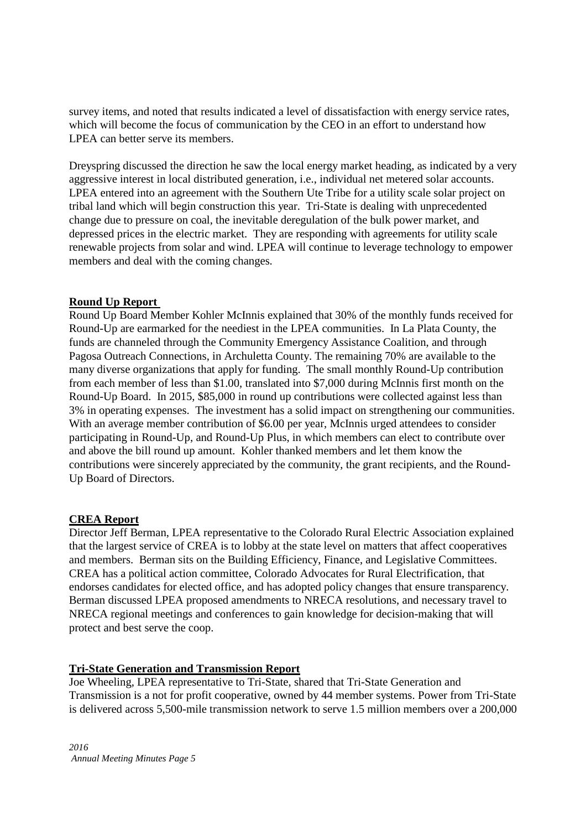survey items, and noted that results indicated a level of dissatisfaction with energy service rates, which will become the focus of communication by the CEO in an effort to understand how LPEA can better serve its members.

Dreyspring discussed the direction he saw the local energy market heading, as indicated by a very aggressive interest in local distributed generation, i.e., individual net metered solar accounts. LPEA entered into an agreement with the Southern Ute Tribe for a utility scale solar project on tribal land which will begin construction this year. Tri-State is dealing with unprecedented change due to pressure on coal, the inevitable deregulation of the bulk power market, and depressed prices in the electric market. They are responding with agreements for utility scale renewable projects from solar and wind. LPEA will continue to leverage technology to empower members and deal with the coming changes.

## **Round Up Report**

Round Up Board Member Kohler McInnis explained that 30% of the monthly funds received for Round-Up are earmarked for the neediest in the LPEA communities. In La Plata County, the funds are channeled through the Community Emergency Assistance Coalition, and through Pagosa Outreach Connections, in Archuletta County. The remaining 70% are available to the many diverse organizations that apply for funding. The small monthly Round-Up contribution from each member of less than \$1.00, translated into \$7,000 during McInnis first month on the Round-Up Board. In 2015, \$85,000 in round up contributions were collected against less than 3% in operating expenses. The investment has a solid impact on strengthening our communities. With an average member contribution of \$6.00 per year, McInnis urged attendees to consider participating in Round-Up, and Round-Up Plus, in which members can elect to contribute over and above the bill round up amount. Kohler thanked members and let them know the contributions were sincerely appreciated by the community, the grant recipients, and the Round-Up Board of Directors.

#### **CREA Report**

Director Jeff Berman, LPEA representative to the Colorado Rural Electric Association explained that the largest service of CREA is to lobby at the state level on matters that affect cooperatives and members. Berman sits on the Building Efficiency, Finance, and Legislative Committees. CREA has a political action committee, Colorado Advocates for Rural Electrification, that endorses candidates for elected office, and has adopted policy changes that ensure transparency. Berman discussed LPEA proposed amendments to NRECA resolutions, and necessary travel to NRECA regional meetings and conferences to gain knowledge for decision-making that will protect and best serve the coop.

#### **Tri-State Generation and Transmission Report**

Joe Wheeling, LPEA representative to Tri-State, shared that Tri-State Generation and Transmission is a not for profit cooperative, owned by 44 member systems. Power from Tri-State is delivered across 5,500-mile transmission network to serve 1.5 million members over a 200,000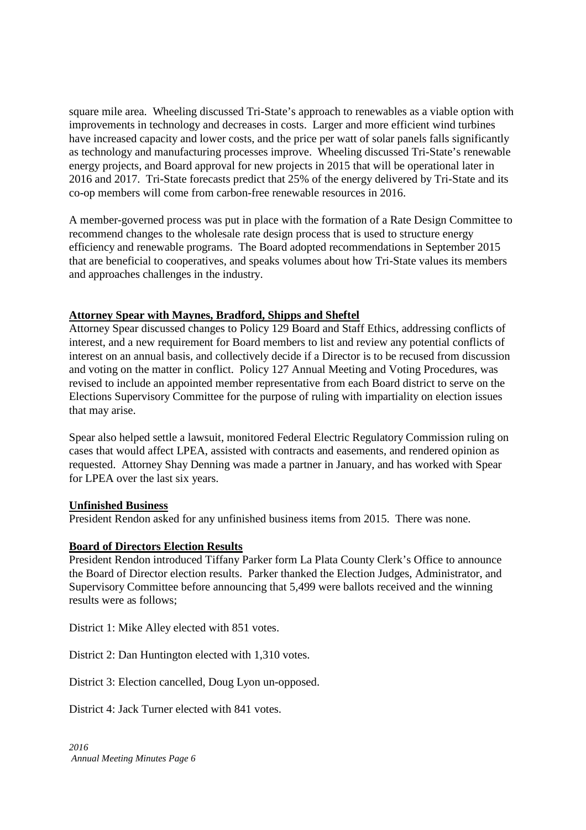square mile area. Wheeling discussed Tri-State's approach to renewables as a viable option with improvements in technology and decreases in costs. Larger and more efficient wind turbines have increased capacity and lower costs, and the price per watt of solar panels falls significantly as technology and manufacturing processes improve. Wheeling discussed Tri-State's renewable energy projects, and Board approval for new projects in 2015 that will be operational later in 2016 and 2017. Tri-State forecasts predict that 25% of the energy delivered by Tri-State and its co-op members will come from carbon-free renewable resources in 2016.

A member-governed process was put in place with the formation of a Rate Design Committee to recommend changes to the wholesale rate design process that is used to structure energy efficiency and renewable programs. The Board adopted recommendations in September 2015 that are beneficial to cooperatives, and speaks volumes about how Tri-State values its members and approaches challenges in the industry.

## **Attorney Spear with Maynes, Bradford, Shipps and Sheftel**

Attorney Spear discussed changes to Policy 129 Board and Staff Ethics, addressing conflicts of interest, and a new requirement for Board members to list and review any potential conflicts of interest on an annual basis, and collectively decide if a Director is to be recused from discussion and voting on the matter in conflict. Policy 127 Annual Meeting and Voting Procedures, was revised to include an appointed member representative from each Board district to serve on the Elections Supervisory Committee for the purpose of ruling with impartiality on election issues that may arise.

Spear also helped settle a lawsuit, monitored Federal Electric Regulatory Commission ruling on cases that would affect LPEA, assisted with contracts and easements, and rendered opinion as requested. Attorney Shay Denning was made a partner in January, and has worked with Spear for LPEA over the last six years.

#### **Unfinished Business**

President Rendon asked for any unfinished business items from 2015. There was none.

## **Board of Directors Election Results**

President Rendon introduced Tiffany Parker form La Plata County Clerk's Office to announce the Board of Director election results. Parker thanked the Election Judges, Administrator, and Supervisory Committee before announcing that 5,499 were ballots received and the winning results were as follows;

District 1: Mike Alley elected with 851 votes.

District 2: Dan Huntington elected with 1,310 votes.

District 3: Election cancelled, Doug Lyon un-opposed.

District 4: Jack Turner elected with 841 votes.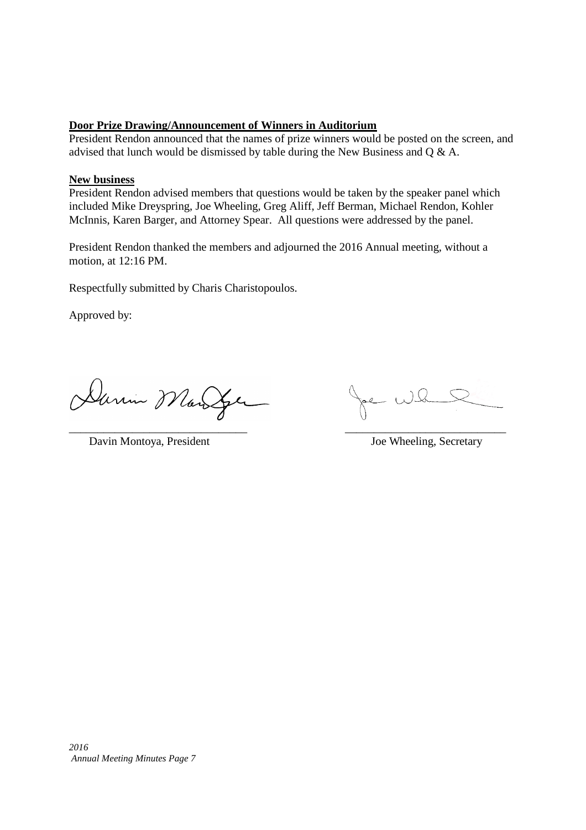## **Door Prize Drawing/Announcement of Winners in Auditorium**

President Rendon announced that the names of prize winners would be posted on the screen, and advised that lunch would be dismissed by table during the New Business and Q & A.

## **New business**

President Rendon advised members that questions would be taken by the speaker panel which included Mike Dreyspring, Joe Wheeling, Greg Aliff, Jeff Berman, Michael Rendon, Kohler McInnis, Karen Barger, and Attorney Spear. All questions were addressed by the panel.

President Rendon thanked the members and adjourned the 2016 Annual meeting, without a motion, at 12:16 PM.

Respectfully submitted by Charis Charistopoulos.

Approved by:

Dann Marger

Davin Montoya, President Joe Wheeling, Secretary

\_\_\_\_\_\_\_\_\_\_\_\_\_\_\_\_\_\_\_\_\_\_\_\_\_\_\_\_\_\_\_ \_\_\_\_\_\_\_\_\_\_\_\_\_\_\_\_\_\_\_\_\_\_\_\_\_\_\_\_